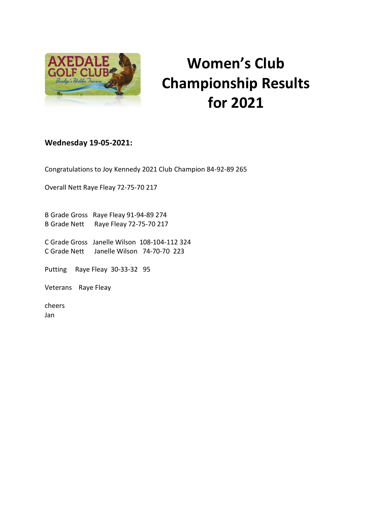

## **Women's Club Championship Results for 2021**

## **Wednesday 19-05-2021:**

Congratulations to Joy Kennedy 2021 Club Champion 84-92-89 265

Overall Nett Raye Fleay 72-75-70 217

B Grade Gross Raye Fleay 91-94-89 274 B Grade Nett Raye Fleay 72-75-70 217

C Grade Gross Janelle Wilson 108-104-112 324 C Grade Nett Janelle Wilson 74-70-70 223

Putting Raye Fleay 30-33-32 95

Veterans Raye Fleay

cheers Jan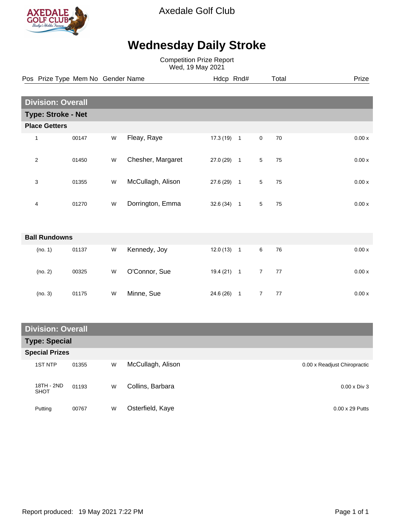

Axedale Golf Club

## **Wednesday Daily Stroke**

Competition Prize Report Wed, 19 May 2021

|                           |                      | Pos Prize Type Mem No Gender Name |   |                   | Hdcp Rnd#    |                |                | Total | Prize   |  |
|---------------------------|----------------------|-----------------------------------|---|-------------------|--------------|----------------|----------------|-------|---------|--|
|                           |                      |                                   |   |                   |              |                |                |       |         |  |
| <b>Division: Overall</b>  |                      |                                   |   |                   |              |                |                |       |         |  |
| <b>Type: Stroke - Net</b> |                      |                                   |   |                   |              |                |                |       |         |  |
|                           | <b>Place Getters</b> |                                   |   |                   |              |                |                |       |         |  |
|                           | 1                    | 00147                             | W | Fleay, Raye       | 17.3 (19)    | $\overline{1}$ | $\mathbf 0$    | 70    | 0.00x   |  |
|                           | $\overline{c}$       | 01450                             | W | Chesher, Margaret | 27.0 (29) 1  |                | 5              | 75    | 0.00x   |  |
|                           | 3                    | 01355                             | W | McCullagh, Alison | $27.6(29)$ 1 |                | $\sqrt{5}$     | 75    | 0.00x   |  |
|                           | 4                    | 01270                             | W | Dorrington, Emma  | $32.6(34)$ 1 |                | 5              | 75    | 0.00x   |  |
|                           |                      |                                   |   |                   |              |                |                |       |         |  |
|                           | <b>Ball Rundowns</b> |                                   |   |                   |              |                |                |       |         |  |
|                           | (no. 1)              | 01137                             | W | Kennedy, Joy      | 12.0(13)     | $\overline{1}$ | 6              | 76    | $0.00x$ |  |
|                           | (no. 2)              | 00325                             | W | O'Connor, Sue     | $19.4(21)$ 1 |                | $\overline{7}$ | 77    | 0.00x   |  |
|                           | (no. 3)              | 01175                             | W | Minne, Sue        | 24.6 (26) 1  |                | $\overline{7}$ | 77    | 0.00x   |  |

| <b>Division: Overall</b>  |       |   |                   |                              |  |  |  |
|---------------------------|-------|---|-------------------|------------------------------|--|--|--|
| <b>Type: Special</b>      |       |   |                   |                              |  |  |  |
| <b>Special Prizes</b>     |       |   |                   |                              |  |  |  |
| <b>1ST NTP</b>            | 01355 | W | McCullagh, Alison | 0.00 x Readjust Chiropractic |  |  |  |
| 18TH - 2ND<br><b>SHOT</b> | 01193 | W | Collins, Barbara  | $0.00 \times Div 3$          |  |  |  |
| Putting                   | 00767 | W | Osterfield, Kaye  | $0.00 \times 29$ Putts       |  |  |  |